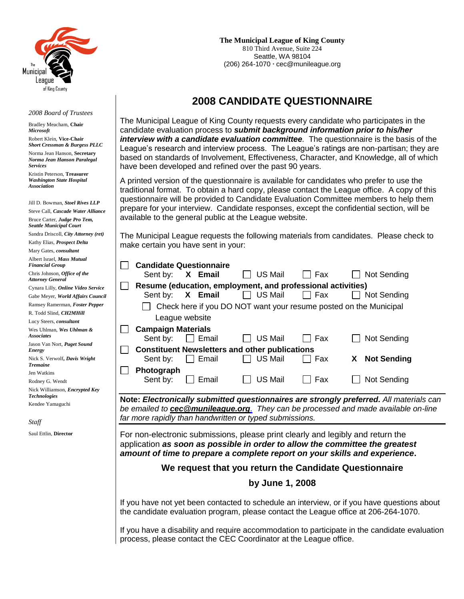

#### *2008 Board of Trustees*

Bradley Meacham, **Chair** *Microsoft* Robert Klein, **Vice-Chair** *Short Cressman & Burgess PLLC* Norma Jean Hanson, **Secretary** *Norma Jean Hanson Paralegal Services* Kristin Peterson, **Treasurer**  *Washington State Hospital Association*

Jill D. Bowman, *Stoel Rives LLP* Steve Call, *Cascade Water Alliance* Bruce Carter, *Judge Pro Tem, Seattle Municipal Court* Sandra Driscoll, *City Attorney (ret)* Kathy Elias, *Prospect Delta* Mary Gates, *consultant* Albert Israel, *Mass Mutual Financial Group* Chris Johnson, *Office of the Attorney General* Cynara Lilly, *Online Video Service* Gabe Meyer, *World Affairs Council* Ramsey Ramerman, *Foster Pepper* R. Todd Slind, *CH2MHill* Lucy Steers, *consultant* Wes Uhlman, *Wes Uhlman & Associates* Jason Van Nort, *Puget Sound Energy* Nick S. Verwolf**,** *Davis Wright Tremaine* Jen Watkins Rodney G. Wendt Nick Williamson, *Encrypted Key Technologies* Kendee Yamaguchi

*Staff*

Saul Ettlin, **Director**

 **The Municipal League of King County** 810 Third Avenue, Suite 224 Seattle, WA 98104 (206) 264-1070 **∙** cec@munileague.org

# **2008 CANDIDATE QUESTIONNAIRE**

The Municipal League of King County requests every candidate who participates in the candidate evaluation process to *submit background information prior to his/her interview with a candidate evaluation committee.* The questionnaire is the basis of the League's research and interview process. The League's ratings are non-partisan; they are based on standards of Involvement, Effectiveness, Character, and Knowledge, all of which have been developed and refined over the past 90 years.

A printed version of the questionnaire is available for candidates who prefer to use the traditional format. To obtain a hard copy, please contact the League office. A copy of this questionnaire will be provided to Candidate Evaluation Committee members to help them prepare for your interview. Candidate responses, except the confidential section, will be available to the general public at the League website.

The Municipal League requests the following materials from candidates. Please check to make certain you have sent in your:

|                                                                                             |                                                                                               | <b>Candidate Questionnaire</b> |                                                             |       |                                                                                          |
|---------------------------------------------------------------------------------------------|-----------------------------------------------------------------------------------------------|--------------------------------|-------------------------------------------------------------|-------|------------------------------------------------------------------------------------------|
|                                                                                             | Sent by:                                                                                      | X Email                        | <b>US Mail</b>                                              | Fax   | Not Sending                                                                              |
|                                                                                             |                                                                                               |                                | Resume (education, employment, and professional activities) |       |                                                                                          |
|                                                                                             | Sent by:                                                                                      | X Email                        | $\Box$ US Mail                                              | l Fax | Not Sending                                                                              |
|                                                                                             |                                                                                               |                                |                                                             |       | Check here if you DO NOT want your resume posted on the Municipal                        |
|                                                                                             |                                                                                               | League website                 |                                                             |       |                                                                                          |
|                                                                                             | <b>Campaign Materials</b>                                                                     |                                |                                                             |       |                                                                                          |
|                                                                                             | Sent by:                                                                                      | $\Box$ Email                   | <b>US Mail</b>                                              | Fax   | Not Sending                                                                              |
|                                                                                             |                                                                                               |                                | <b>Constituent Newsletters and other publications</b>       |       |                                                                                          |
|                                                                                             | Sent by:                                                                                      | Email                          | <b>US Mail</b>                                              | Fax   | <b>Not Sending</b><br>X                                                                  |
|                                                                                             | Photograph                                                                                    |                                |                                                             |       |                                                                                          |
|                                                                                             | Sent by:                                                                                      | Email                          | <b>US Mail</b>                                              | Fax   | Not Sending                                                                              |
|                                                                                             |                                                                                               |                                |                                                             |       |                                                                                          |
|                                                                                             |                                                                                               |                                |                                                             |       | Note: Electronically submitted questionnaires are strongly preferred. All materials can  |
|                                                                                             |                                                                                               |                                | far more rapidly than handwritten or typed submissions.     |       | be emailed to <b>cec@munileague.org</b> They can be processed and made available on-line |
|                                                                                             |                                                                                               |                                |                                                             |       |                                                                                          |
|                                                                                             |                                                                                               |                                |                                                             |       | For non-electronic submissions, please print clearly and legibly and return the          |
|                                                                                             |                                                                                               |                                |                                                             |       | application as soon as possible in order to allow the committee the greatest             |
|                                                                                             | amount of time to prepare a complete report on your skills and experience.                    |                                |                                                             |       |                                                                                          |
| We request that you return the Candidate Questionnaire                                      |                                                                                               |                                |                                                             |       |                                                                                          |
| by June 1, 2008                                                                             |                                                                                               |                                |                                                             |       |                                                                                          |
|                                                                                             |                                                                                               |                                |                                                             |       |                                                                                          |
| If you have not yet been contacted to schedule an interview, or if you have questions about |                                                                                               |                                |                                                             |       |                                                                                          |
| the candidate evaluation program, please contact the League office at 206-264-1070.         |                                                                                               |                                |                                                             |       |                                                                                          |
|                                                                                             |                                                                                               |                                |                                                             |       |                                                                                          |
|                                                                                             | If you have a disability and require accommodation to participate in the candidate evaluation |                                |                                                             |       |                                                                                          |

process, please contact the CEC Coordinator at the League office.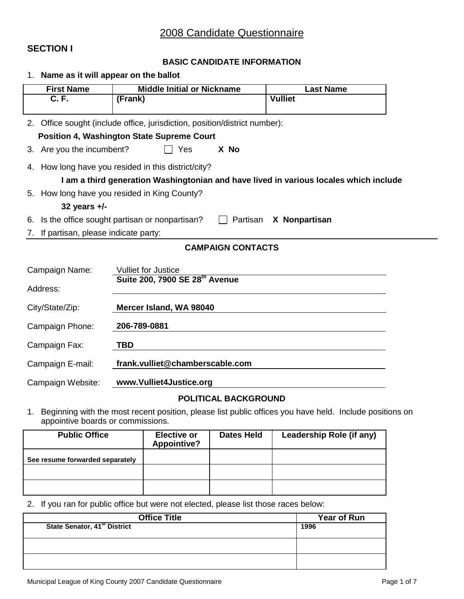### **SECTION I**

#### **BASIC CANDIDATE INFORMATION**

|                                                                                  | 1. Name as it will appear on the ballot      |                                                                            |                                                                                       |  |
|----------------------------------------------------------------------------------|----------------------------------------------|----------------------------------------------------------------------------|---------------------------------------------------------------------------------------|--|
|                                                                                  | <b>First Name</b>                            | <b>Middle Initial or Nickname</b>                                          | <b>Last Name</b>                                                                      |  |
|                                                                                  | C. F.                                        | (Frank)                                                                    | <b>Vulliet</b>                                                                        |  |
|                                                                                  |                                              | 2. Office sought (include office, jurisdiction, position/district number): |                                                                                       |  |
|                                                                                  |                                              | <b>Position 4, Washington State Supreme Court</b>                          |                                                                                       |  |
| 3.                                                                               | Are you the incumbent?                       | Yes<br>X No                                                                |                                                                                       |  |
|                                                                                  |                                              | 4. How long have you resided in this district/city?                        |                                                                                       |  |
|                                                                                  |                                              |                                                                            | I am a third generation Washingtonian and have lived in various locales which include |  |
|                                                                                  |                                              | 5. How long have you resided in King County?                               |                                                                                       |  |
|                                                                                  | 32 years $+/-$                               |                                                                            |                                                                                       |  |
| Is the office sought partisan or nonpartisan?<br>Partisan<br>X Nonpartisan<br>6. |                                              |                                                                            |                                                                                       |  |
| If partisan, please indicate party:<br>7.                                        |                                              |                                                                            |                                                                                       |  |
| <b>CAMPAIGN CONTACTS</b>                                                         |                                              |                                                                            |                                                                                       |  |
|                                                                                  | Campaign Name:<br><b>Vulliet for Justice</b> |                                                                            |                                                                                       |  |
| Address:                                                                         |                                              | Suite 200, 7900 SE 28th Avenue                                             |                                                                                       |  |
|                                                                                  |                                              |                                                                            |                                                                                       |  |
| City/State/Zip:                                                                  |                                              | Mercer Island, WA 98040                                                    |                                                                                       |  |
| Campaign Phone:                                                                  |                                              | 206-789-0881                                                               |                                                                                       |  |
| TBD<br>Campaign Fax:                                                             |                                              |                                                                            |                                                                                       |  |
| Campaign E-mail:                                                                 |                                              | frank.vulliet@chamberscable.com                                            |                                                                                       |  |
| Campaign Website:                                                                |                                              | www.Vulliet4Justice.org                                                    |                                                                                       |  |
|                                                                                  |                                              |                                                                            |                                                                                       |  |

### **POLITICAL BACKGROUND**

1. Beginning with the most recent position, please list public offices you have held. Include positions on appointive boards or commissions.

| <b>Public Office</b>            | <b>Elective or</b><br><b>Appointive?</b> | <b>Dates Held</b> | Leadership Role (if any) |
|---------------------------------|------------------------------------------|-------------------|--------------------------|
| See resume forwarded separately |                                          |                   |                          |
|                                 |                                          |                   |                          |
|                                 |                                          |                   |                          |

#### 2. If you ran for public office but were not elected, please list those races below:

| <b>Office Title</b>                      | Year of Run |
|------------------------------------------|-------------|
| State Senator, 41 <sup>st</sup> District | 1996        |
|                                          |             |
|                                          |             |
|                                          |             |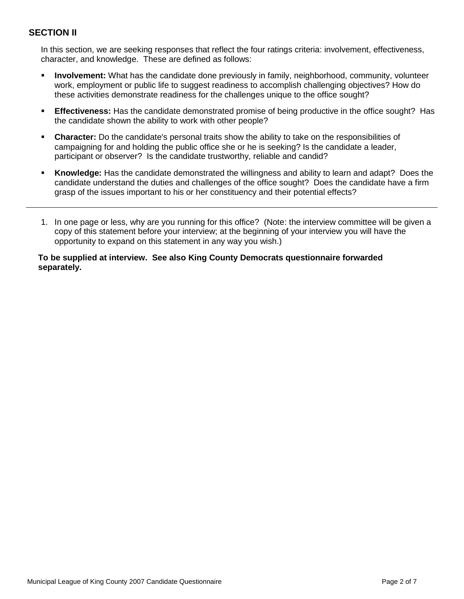## **SECTION II**

In this section, we are seeking responses that reflect the four ratings criteria: involvement, effectiveness, character, and knowledge. These are defined as follows:

- **Involvement:** What has the candidate done previously in family, neighborhood, community, volunteer work, employment or public life to suggest readiness to accomplish challenging objectives? How do these activities demonstrate readiness for the challenges unique to the office sought?
- **Effectiveness:** Has the candidate demonstrated promise of being productive in the office sought? Has the candidate shown the ability to work with other people?
- **Character:** Do the candidate's personal traits show the ability to take on the responsibilities of campaigning for and holding the public office she or he is seeking? Is the candidate a leader, participant or observer? Is the candidate trustworthy, reliable and candid?
- **Knowledge:** Has the candidate demonstrated the willingness and ability to learn and adapt? Does the candidate understand the duties and challenges of the office sought? Does the candidate have a firm grasp of the issues important to his or her constituency and their potential effects?
- 1. In one page or less, why are you running for this office? (Note: the interview committee will be given a copy of this statement before your interview; at the beginning of your interview you will have the opportunity to expand on this statement in any way you wish.)

#### **To be supplied at interview. See also King County Democrats questionnaire forwarded separately.**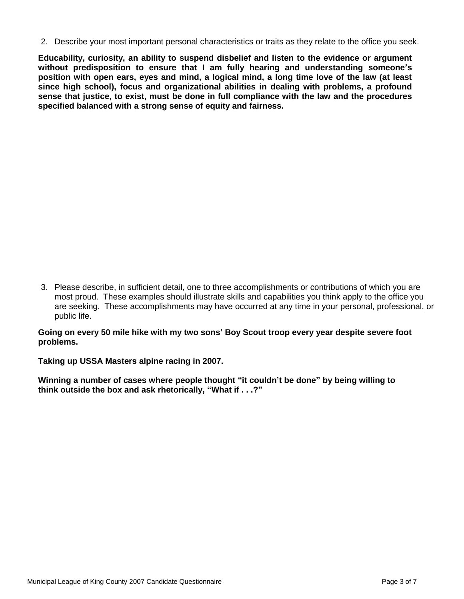2. Describe your most important personal characteristics or traits as they relate to the office you seek.

**Educability, curiosity, an ability to suspend disbelief and listen to the evidence or argument without predisposition to ensure that I am fully hearing and understanding someone's position with open ears, eyes and mind, a logical mind, a long time love of the law (at least since high school), focus and organizational abilities in dealing with problems, a profound sense that justice, to exist, must be done in full compliance with the law and the procedures specified balanced with a strong sense of equity and fairness.**

3. Please describe, in sufficient detail, one to three accomplishments or contributions of which you are most proud. These examples should illustrate skills and capabilities you think apply to the office you are seeking. These accomplishments may have occurred at any time in your personal, professional, or public life.

**Going on every 50 mile hike with my two sons' Boy Scout troop every year despite severe foot problems.**

**Taking up USSA Masters alpine racing in 2007.**

**Winning a number of cases where people thought "it couldn't be done" by being willing to think outside the box and ask rhetorically, "What if . . .?"**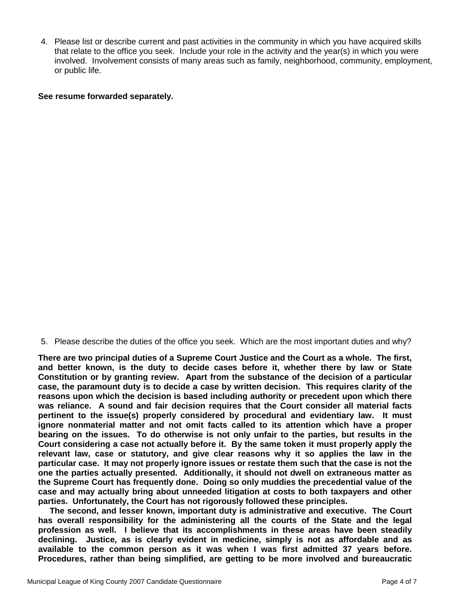4. Please list or describe current and past activities in the community in which you have acquired skills that relate to the office you seek. Include your role in the activity and the year(s) in which you were involved. Involvement consists of many areas such as family, neighborhood, community, employment, or public life.

#### **See resume forwarded separately.**

5. Please describe the duties of the office you seek. Which are the most important duties and why?

**There are two principal duties of a Supreme Court Justice and the Court as a whole. The first, and better known, is the duty to decide cases before it, whether there by law or State Constitution or by granting review. Apart from the substance of the decision of a particular case, the paramount duty is to decide a case by written decision. This requires clarity of the reasons upon which the decision is based including authority or precedent upon which there was reliance. A sound and fair decision requires that the Court consider all material facts pertinent to the issue(s) properly considered by procedural and evidentiary law. It must ignore nonmaterial matter and not omit facts called to its attention which have a proper bearing on the issues. To do otherwise is not only unfair to the parties, but results in the Court considering a case not actually before it. By the same token it must properly apply the relevant law, case or statutory, and give clear reasons why it so applies the law in the particular case. It may not properly ignore issues or restate them such that the case is not the one the parties actually presented. Additionally, it should not dwell on extraneous matter as the Supreme Court has frequently done. Doing so only muddies the precedential value of the case and may actually bring about unneeded litigation at costs to both taxpayers and other parties. Unfortunately, the Court has not rigorously followed these principles.**

 **The second, and lesser known, important duty is administrative and executive. The Court has overall responsibility for the administering all the courts of the State and the legal profession as well. I believe that its accomplishments in these areas have been steadily declining. Justice, as is clearly evident in medicine, simply is not as affordable and as available to the common person as it was when I was first admitted 37 years before. Procedures, rather than being simplified, are getting to be more involved and bureaucratic**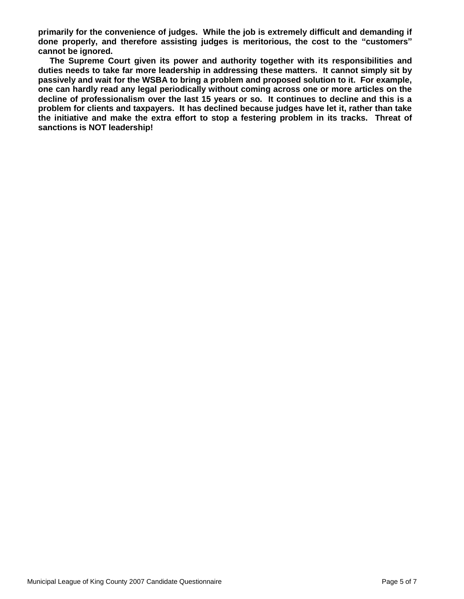**primarily for the convenience of judges. While the job is extremely difficult and demanding if done properly, and therefore assisting judges is meritorious, the cost to the "customers" cannot be ignored.**

 **The Supreme Court given its power and authority together with its responsibilities and duties needs to take far more leadership in addressing these matters. It cannot simply sit by passively and wait for the WSBA to bring a problem and proposed solution to it. For example, one can hardly read any legal periodically without coming across one or more articles on the decline of professionalism over the last 15 years or so. It continues to decline and this is a problem for clients and taxpayers. It has declined because judges have let it, rather than take the initiative and make the extra effort to stop a festering problem in its tracks. Threat of sanctions is NOT leadership!**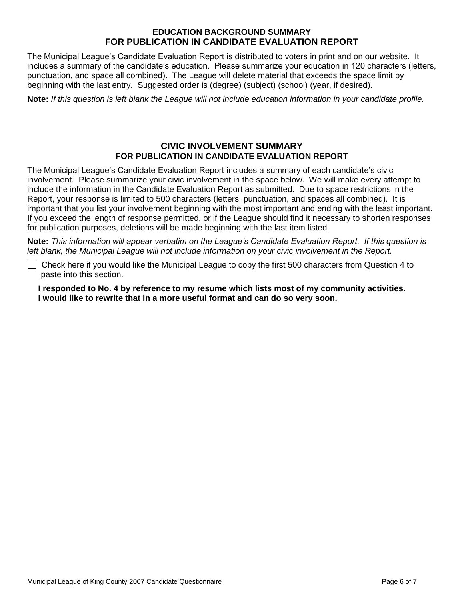### **EDUCATION BACKGROUND SUMMARY FOR PUBLICATION IN CANDIDATE EVALUATION REPORT**

The Municipal League's Candidate Evaluation Report is distributed to voters in print and on our website. It includes a summary of the candidate's education. Please summarize your education in 120 characters (letters, punctuation, and space all combined). The League will delete material that exceeds the space limit by beginning with the last entry. Suggested order is (degree) (subject) (school) (year, if desired).

**Note:** *If this question is left blank the League will not include education information in your candidate profile.*

### **CIVIC INVOLVEMENT SUMMARY FOR PUBLICATION IN CANDIDATE EVALUATION REPORT**

The Municipal League's Candidate Evaluation Report includes a summary of each candidate's civic involvement. Please summarize your civic involvement in the space below. We will make every attempt to include the information in the Candidate Evaluation Report as submitted. Due to space restrictions in the Report, your response is limited to 500 characters (letters, punctuation, and spaces all combined). It is important that you list your involvement beginning with the most important and ending with the least important. If you exceed the length of response permitted, or if the League should find it necessary to shorten responses for publication purposes, deletions will be made beginning with the last item listed.

**Note:** *This information will appear verbatim on the League's Candidate Evaluation Report. If this question is left blank, the Municipal League will not include information on your civic involvement in the Report.*

Check here if you would like the Municipal League to copy the first 500 characters from Question 4 to paste into this section.

**I responded to No. 4 by reference to my resume which lists most of my community activities. I would like to rewrite that in a more useful format and can do so very soon.**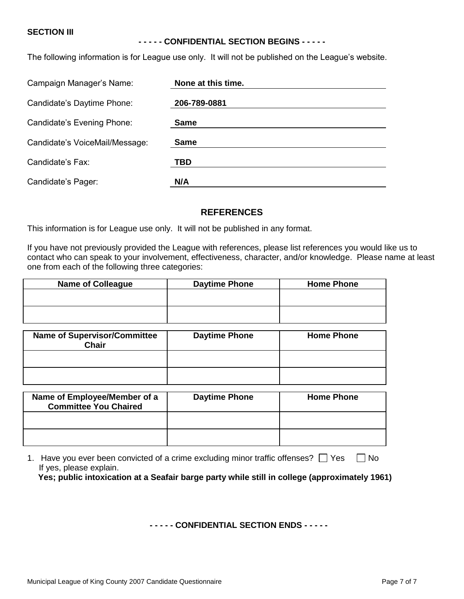#### **SECTION III**

#### **- - - - - CONFIDENTIAL SECTION BEGINS - - - - -**

The following information is for League use only. It will not be published on the League's website.

| Campaign Manager's Name:       | None at this time. |  |
|--------------------------------|--------------------|--|
| Candidate's Daytime Phone:     | 206-789-0881       |  |
| Candidate's Evening Phone:     | <b>Same</b>        |  |
| Candidate's VoiceMail/Message: | <b>Same</b>        |  |
| Candidate's Fax:               | TBD                |  |
| Candidate's Pager:             | N/A                |  |

#### **REFERENCES**

This information is for League use only. It will not be published in any format.

If you have not previously provided the League with references, please list references you would like us to contact who can speak to your involvement, effectiveness, character, and/or knowledge. Please name at least one from each of the following three categories:

| <b>Name of Colleague</b> | <b>Daytime Phone</b> | <b>Home Phone</b> |
|--------------------------|----------------------|-------------------|
|                          |                      |                   |
|                          |                      |                   |
|                          |                      |                   |

| <b>Name of Supervisor/Committee</b><br><b>Chair</b> | <b>Daytime Phone</b> | <b>Home Phone</b> |
|-----------------------------------------------------|----------------------|-------------------|
|                                                     |                      |                   |
|                                                     |                      |                   |

| Name of Employee/Member of a<br><b>Committee You Chaired</b> | <b>Daytime Phone</b> | <b>Home Phone</b> |
|--------------------------------------------------------------|----------------------|-------------------|
|                                                              |                      |                   |
|                                                              |                      |                   |

1. Have you ever been convicted of a crime excluding minor traffic offenses?  $\Box$  Yes  $\Box$  No If yes, please explain. **Yes; public intoxication at a Seafair barge party while still in college (approximately 1961)**

#### **- - - - - CONFIDENTIAL SECTION ENDS - - - - -**